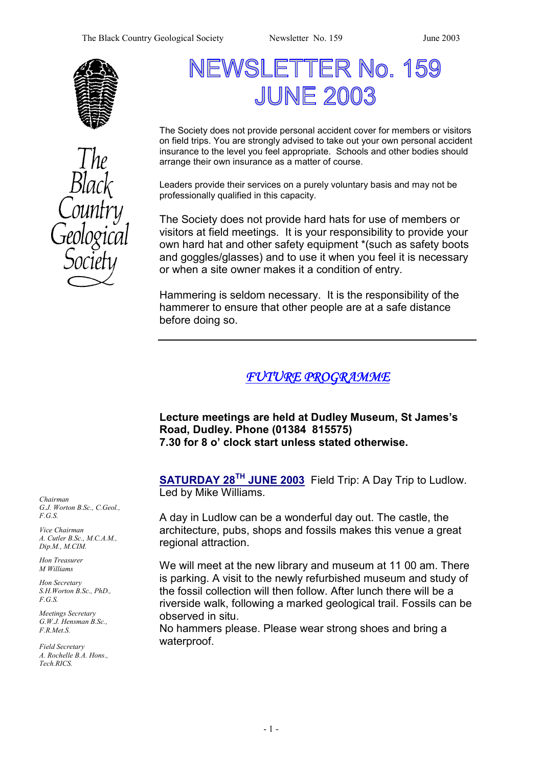



# NEWSLETTER No. 159 **JUNE 2003**

The Society does not provide personal accident cover for members or visitors on field trips. You are strongly advised to take out your own personal accident insurance to the level you feel appropriate. Schools and other bodies should arrange their own insurance as a matter of course.

Leaders provide their services on a purely voluntary basis and may not be professionally qualified in this capacity.

The Society does not provide hard hats for use of members or visitors at field meetings. It is your responsibility to provide your own hard hat and other safety equipment \*(such as safety boots and goggles/glasses) and to use it when you feel it is necessary or when a site owner makes it a condition of entry.

Hammering is seldom necessary. It is the responsibility of the hammerer to ensure that other people are at a safe distance before doing so.

## *FUTURE PROGRAMME*

**Lecture meetings are held at Dudley Museum, St James's Road, Dudley. Phone (01384 815575) 7.30 for 8 o' clock start unless stated otherwise.** 

**SATURDAY 28TH JUNE 2003** Field Trip: A Day Trip to Ludlow. Led by Mike Williams.

A day in Ludlow can be a wonderful day out. The castle, the architecture, pubs, shops and fossils makes this venue a great regional attraction.

We will meet at the new library and museum at 11 00 am. There is parking. A visit to the newly refurbished museum and study of the fossil collection will then follow. After lunch there will be a riverside walk, following a marked geological trail. Fossils can be observed in situ.

No hammers please. Please wear strong shoes and bring a waterproof.

*Chairman G.J. Worton B.Sc., C.Geol., F.G.S.* 

*Vice Chairman A. Cutler B.Sc., M.C.A.M., Dip.M., M.CIM.* 

*Hon Treasurer M Williams* 

*Hon Secretary S.H.Worton B.Sc., PhD., F.G.S.* 

*Meetings Secretary G.W.J. Hensman B.Sc., F.R.Met.S.* 

*Field Secretary A. Rochelle B.A. Hons., Tech.RICS.*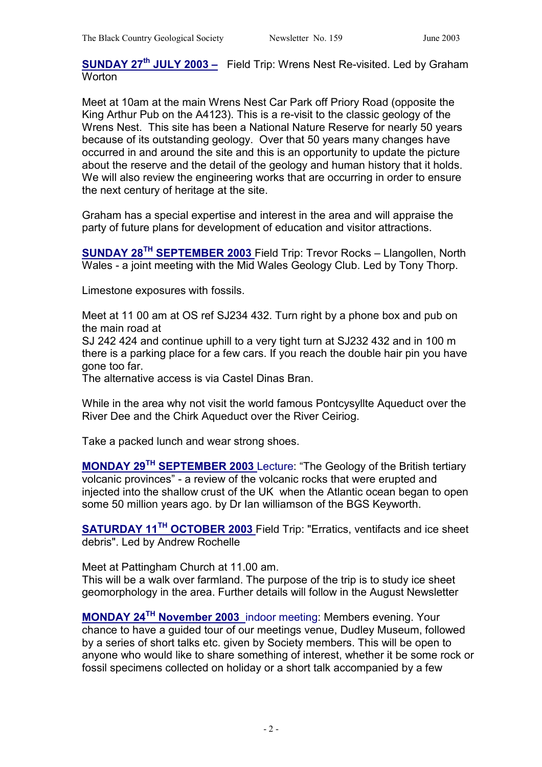**SUNDAY 27th JULY 2003 –** Field Trip: Wrens Nest Re-visited. Led by Graham Worton

Meet at 10am at the main Wrens Nest Car Park off Priory Road (opposite the King Arthur Pub on the A4123). This is a re-visit to the classic geology of the Wrens Nest. This site has been a National Nature Reserve for nearly 50 years because of its outstanding geology. Over that 50 years many changes have occurred in and around the site and this is an opportunity to update the picture about the reserve and the detail of the geology and human history that it holds. We will also review the engineering works that are occurring in order to ensure the next century of heritage at the site.

Graham has a special expertise and interest in the area and will appraise the party of future plans for development of education and visitor attractions.

**SUNDAY 28TH SEPTEMBER 2003** Field Trip: Trevor Rocks – Llangollen, North Wales - a joint meeting with the Mid Wales Geology Club. Led by Tony Thorp.

Limestone exposures with fossils.

Meet at 11 00 am at OS ref SJ234 432. Turn right by a phone box and pub on the main road at

SJ 242 424 and continue uphill to a very tight turn at SJ232 432 and in 100 m there is a parking place for a few cars. If you reach the double hair pin you have gone too far.

The alternative access is via Castel Dinas Bran.

While in the area why not visit the world famous Pontcysyllte Aqueduct over the River Dee and the Chirk Aqueduct over the River Ceiriog.

Take a packed lunch and wear strong shoes.

**MONDAY 29TH SEPTEMBER 2003** Lecture: "The Geology of the British tertiary volcanic provinces" - a review of the volcanic rocks that were erupted and injected into the shallow crust of the UK when the Atlantic ocean began to open some 50 million years ago. by Dr Ian williamson of the BGS Keyworth.

**SATURDAY 11TH OCTOBER 2003** Field Trip: "Erratics, ventifacts and ice sheet debris". Led by Andrew Rochelle

Meet at Pattingham Church at 11.00 am.

This will be a walk over farmland. The purpose of the trip is to study ice sheet geomorphology in the area. Further details will follow in the August Newsletter

**MONDAY 24TH November 2003** indoor meeting: Members evening. Your chance to have a guided tour of our meetings venue, Dudley Museum, followed by a series of short talks etc. given by Society members. This will be open to anyone who would like to share something of interest, whether it be some rock or fossil specimens collected on holiday or a short talk accompanied by a few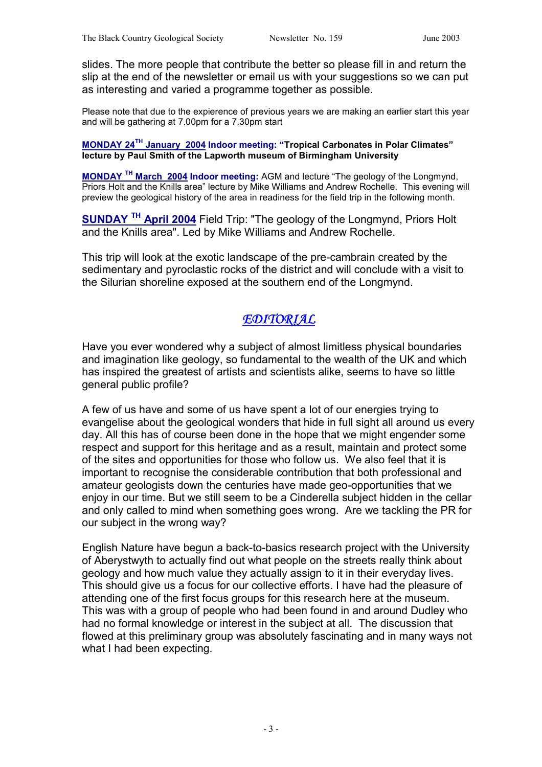slides. The more people that contribute the better so please fill in and return the slip at the end of the newsletter or email us with your suggestions so we can put as interesting and varied a programme together as possible.

Please note that due to the expierence of previous years we are making an earlier start this year and will be gathering at 7.00pm for a 7.30pm start

#### **MONDAY 24TH January 2004 Indoor meeting: "Tropical Carbonates in Polar Climates" lecture by Paul Smith of the Lapworth museum of Birmingham University**

**MONDAY TH March 2004 Indoor meeting:** AGM and lecture "The geology of the Longmynd, Priors Holt and the Knills area" lecture by Mike Williams and Andrew Rochelle. This evening will preview the geological history of the area in readiness for the field trip in the following month.

**SUNDAY TH April 2004** Field Trip: "The geology of the Longmynd, Priors Holt and the Knills area". Led by Mike Williams and Andrew Rochelle.

This trip will look at the exotic landscape of the pre-cambrain created by the sedimentary and pyroclastic rocks of the district and will conclude with a visit to the Silurian shoreline exposed at the southern end of the Longmynd.

## *EDITORIAL*

Have you ever wondered why a subject of almost limitless physical boundaries and imagination like geology, so fundamental to the wealth of the UK and which has inspired the greatest of artists and scientists alike, seems to have so little general public profile?

A few of us have and some of us have spent a lot of our energies trying to evangelise about the geological wonders that hide in full sight all around us every day. All this has of course been done in the hope that we might engender some respect and support for this heritage and as a result, maintain and protect some of the sites and opportunities for those who follow us. We also feel that it is important to recognise the considerable contribution that both professional and amateur geologists down the centuries have made geo-opportunities that we enjoy in our time. But we still seem to be a Cinderella subject hidden in the cellar and only called to mind when something goes wrong. Are we tackling the PR for our subject in the wrong way?

English Nature have begun a back-to-basics research project with the University of Aberystwyth to actually find out what people on the streets really think about geology and how much value they actually assign to it in their everyday lives. This should give us a focus for our collective efforts. I have had the pleasure of attending one of the first focus groups for this research here at the museum. This was with a group of people who had been found in and around Dudley who had no formal knowledge or interest in the subject at all. The discussion that flowed at this preliminary group was absolutely fascinating and in many ways not what I had been expecting.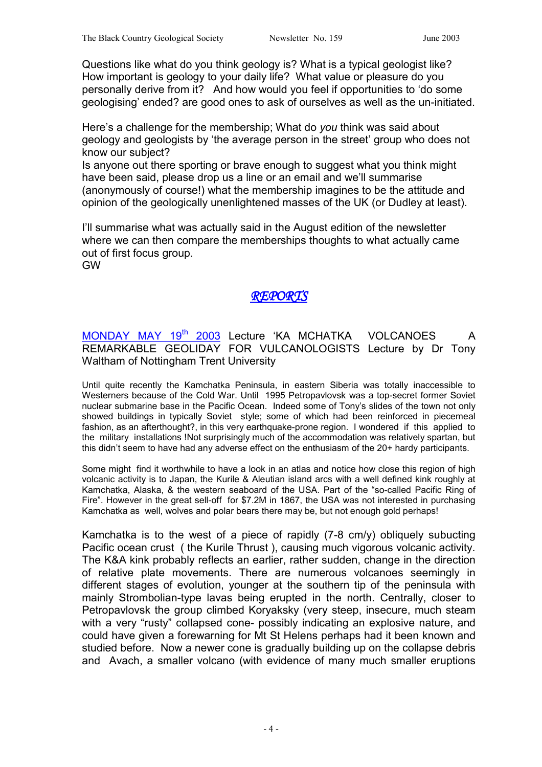Questions like what do you think geology is? What is a typical geologist like? How important is geology to your daily life? What value or pleasure do you personally derive from it? And how would you feel if opportunities to 'do some geologising' ended? are good ones to ask of ourselves as well as the un-initiated.

Here's a challenge for the membership; What do *you* think was said about geology and geologists by 'the average person in the street' group who does not know our subject?

Is anyone out there sporting or brave enough to suggest what you think might have been said, please drop us a line or an email and we'll summarise (anonymously of course!) what the membership imagines to be the attitude and opinion of the geologically unenlightened masses of the UK (or Dudley at least).

I'll summarise what was actually said in the August edition of the newsletter where we can then compare the memberships thoughts to what actually came out of first focus group.

GW

## **REPORT**

### MONDAY MAY 19<sup>th</sup> 2003 Lecture 'KA MCHATKA VOLCANOES A REMARKABLE GEOLIDAY FOR VULCANOLOGISTS Lecture by Dr Tony Waltham of Nottingham Trent University

Until quite recently the Kamchatka Peninsula, in eastern Siberia was totally inaccessible to Westerners because of the Cold War. Until 1995 Petropavlovsk was a top-secret former Soviet nuclear submarine base in the Pacific Ocean. Indeed some of Tony's slides of the town not only showed buildings in typically Soviet style; some of which had been reinforced in piecemeal fashion, as an afterthought?, in this very earthquake-prone region. I wondered if this applied to the military installations !Not surprisingly much of the accommodation was relatively spartan, but this didn't seem to have had any adverse effect on the enthusiasm of the 20+ hardy participants.

Some might find it worthwhile to have a look in an atlas and notice how close this region of high volcanic activity is to Japan, the Kurile & Aleutian island arcs with a well defined kink roughly at Kamchatka, Alaska, & the western seaboard of the USA. Part of the "so-called Pacific Ring of Fire". However in the great sell-off for \$7.2M in 1867, the USA was not interested in purchasing Kamchatka as well, wolves and polar bears there may be, but not enough gold perhaps!

Kamchatka is to the west of a piece of rapidly (7-8 cm/y) obliquely subucting Pacific ocean crust ( the Kurile Thrust ), causing much vigorous volcanic activity. The K&A kink probably reflects an earlier, rather sudden, change in the direction of relative plate movements. There are numerous volcanoes seemingly in different stages of evolution, younger at the southern tip of the peninsula with mainly Strombolian-type lavas being erupted in the north. Centrally, closer to Petropavlovsk the group climbed Koryaksky (very steep, insecure, much steam with a very "rusty" collapsed cone- possibly indicating an explosive nature, and could have given a forewarning for Mt St Helens perhaps had it been known and studied before. Now a newer cone is gradually building up on the collapse debris and Avach, a smaller volcano (with evidence of many much smaller eruptions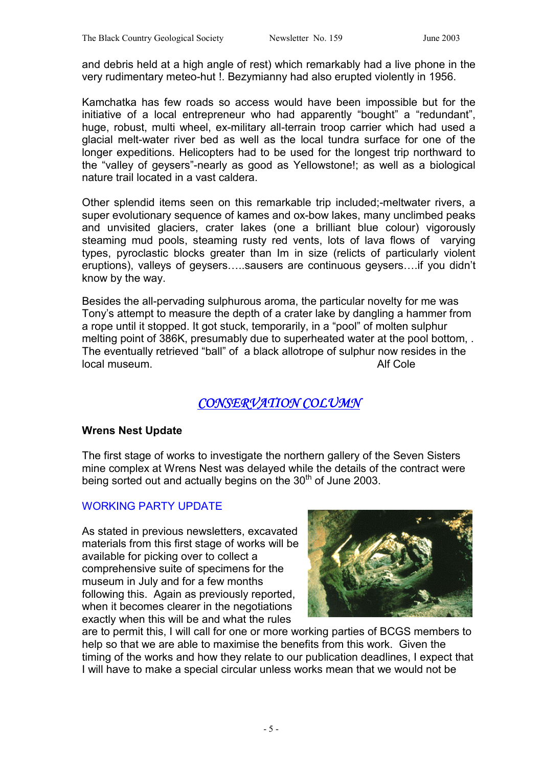and debris held at a high angle of rest) which remarkably had a live phone in the very rudimentary meteo-hut !. Bezymianny had also erupted violently in 1956.

Kamchatka has few roads so access would have been impossible but for the initiative of a local entrepreneur who had apparently "bought" a "redundant", huge, robust, multi wheel, ex-military all-terrain troop carrier which had used a glacial melt-water river bed as well as the local tundra surface for one of the longer expeditions. Helicopters had to be used for the longest trip northward to the "valley of geysers"-nearly as good as Yellowstone!; as well as a biological nature trail located in a vast caldera.

Other splendid items seen on this remarkable trip included;-meltwater rivers, a super evolutionary sequence of kames and ox-bow lakes, many unclimbed peaks and unvisited glaciers, crater lakes (one a brilliant blue colour) vigorously steaming mud pools, steaming rusty red vents, lots of lava flows of varying types, pyroclastic blocks greater than Im in size (relicts of particularly violent eruptions), valleys of geysers…..sausers are continuous geysers….if you didn't know by the way.

Besides the all-pervading sulphurous aroma, the particular novelty for me was Tony's attempt to measure the depth of a crater lake by dangling a hammer from a rope until it stopped. It got stuck, temporarily, in a "pool" of molten sulphur melting point of 386K, presumably due to superheated water at the pool bottom, . The eventually retrieved "ball" of a black allotrope of sulphur now resides in the local museum. Alf Cole

# *CONSERVATION COLUMN CONSERVATION COLUMN*

#### **Wrens Nest Update**

The first stage of works to investigate the northern gallery of the Seven Sisters mine complex at Wrens Nest was delayed while the details of the contract were being sorted out and actually begins on the 30<sup>th</sup> of June 2003.

#### WORKING PARTY UPDATE

As stated in previous newsletters, excavated materials from this first stage of works will be available for picking over to collect a comprehensive suite of specimens for the museum in July and for a few months following this. Again as previously reported, when it becomes clearer in the negotiations exactly when this will be and what the rules



are to permit this, I will call for one or more working parties of BCGS members to help so that we are able to maximise the benefits from this work. Given the timing of the works and how they relate to our publication deadlines, I expect that I will have to make a special circular unless works mean that we would not be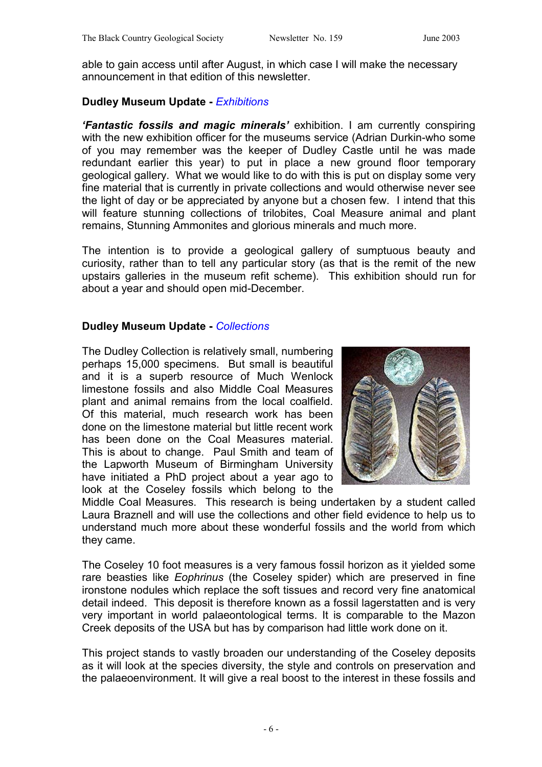able to gain access until after August, in which case I will make the necessary announcement in that edition of this newsletter.

#### **Dudley Museum Update -** *Exhibitions*

*'Fantastic fossils and magic minerals'* exhibition. I am currently conspiring with the new exhibition officer for the museums service (Adrian Durkin-who some of you may remember was the keeper of Dudley Castle until he was made redundant earlier this year) to put in place a new ground floor temporary geological gallery. What we would like to do with this is put on display some very fine material that is currently in private collections and would otherwise never see the light of day or be appreciated by anyone but a chosen few. I intend that this will feature stunning collections of trilobites, Coal Measure animal and plant remains, Stunning Ammonites and glorious minerals and much more.

The intention is to provide a geological gallery of sumptuous beauty and curiosity, rather than to tell any particular story (as that is the remit of the new upstairs galleries in the museum refit scheme). This exhibition should run for about a year and should open mid-December.

#### **Dudley Museum Update -** *Collections*

The Dudley Collection is relatively small, numbering perhaps 15,000 specimens. But small is beautiful and it is a superb resource of Much Wenlock limestone fossils and also Middle Coal Measures plant and animal remains from the local coalfield. Of this material, much research work has been done on the limestone material but little recent work has been done on the Coal Measures material. This is about to change. Paul Smith and team of the Lapworth Museum of Birmingham University have initiated a PhD project about a year ago to look at the Coseley fossils which belong to the



Middle Coal Measures. This research is being undertaken by a student called Laura Braznell and will use the collections and other field evidence to help us to understand much more about these wonderful fossils and the world from which they came.

The Coseley 10 foot measures is a very famous fossil horizon as it yielded some rare beasties like *Eophrinus* (the Coseley spider) which are preserved in fine ironstone nodules which replace the soft tissues and record very fine anatomical detail indeed. This deposit is therefore known as a fossil lagerstatten and is very very important in world palaeontological terms. It is comparable to the Mazon Creek deposits of the USA but has by comparison had little work done on it.

This project stands to vastly broaden our understanding of the Coseley deposits as it will look at the species diversity, the style and controls on preservation and the palaeoenvironment. It will give a real boost to the interest in these fossils and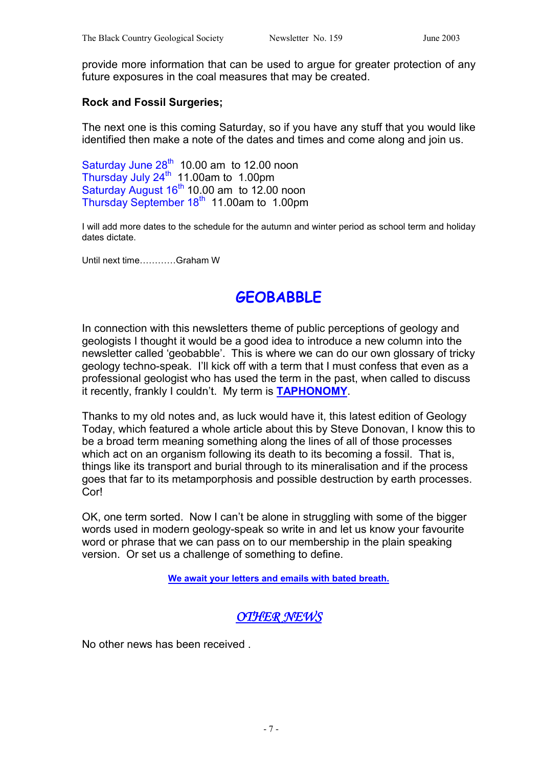provide more information that can be used to argue for greater protection of any future exposures in the coal measures that may be created.

#### **Rock and Fossil Surgeries;**

The next one is this coming Saturday, so if you have any stuff that you would like identified then make a note of the dates and times and come along and join us.

Saturday June  $28<sup>th</sup>$  10.00 am to 12.00 noon Thursday July 24<sup>th</sup> 11.00am to 1.00pm Saturday August  $16<sup>th</sup> 10.00$  am to 12.00 noon Thursday September  $18<sup>th</sup>$  11.00am to 1.00pm

I will add more dates to the schedule for the autumn and winter period as school term and holiday dates dictate.

Until next time…………Graham W

# **GEOBABBLE**

In connection with this newsletters theme of public perceptions of geology and geologists I thought it would be a good idea to introduce a new column into the newsletter called 'geobabble'. This is where we can do our own glossary of tricky geology techno-speak. I'll kick off with a term that I must confess that even as a professional geologist who has used the term in the past, when called to discuss it recently, frankly I couldn't. My term is **TAPHONOMY**.

Thanks to my old notes and, as luck would have it, this latest edition of Geology Today, which featured a whole article about this by Steve Donovan, I know this to be a broad term meaning something along the lines of all of those processes which act on an organism following its death to its becoming a fossil. That is, things like its transport and burial through to its mineralisation and if the process goes that far to its metamporphosis and possible destruction by earth processes. Cor!

OK, one term sorted. Now I can't be alone in struggling with some of the bigger words used in modern geology-speak so write in and let us know your favourite word or phrase that we can pass on to our membership in the plain speaking version. Or set us a challenge of something to define.

**We await your letters and emails with bated breath.**

## *OTHER NEWS*

No other news has been received